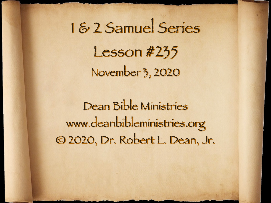# 1 & 2 Samuel Series Lesson #235 November 3, 2020

Dean Bible Ministries [www.deanbibleministries.org](http://www.deanbibleministries.org) © 2020, Dr. Robert L. Dean, Jr.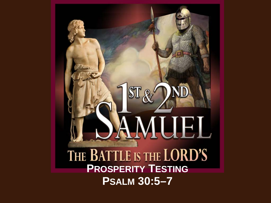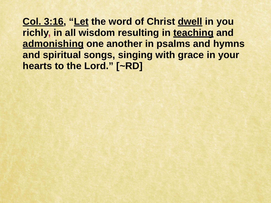**Col. 3:16, "Let the word of Christ dwell in you richly, in all wisdom resulting in teaching and admonishing one another in psalms and hymns and spiritual songs, singing with grace in your hearts to the Lord." [~RD]**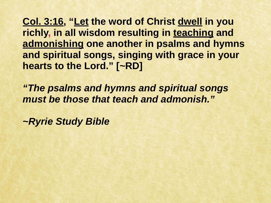**Col. 3:16, "Let the word of Christ dwell in you richly, in all wisdom resulting in teaching and admonishing one another in psalms and hymns and spiritual songs, singing with grace in your hearts to the Lord." [~RD]** 

*"The psalms and hymns and spiritual songs must be those that teach and admonish."* 

*~Ryrie Study Bible*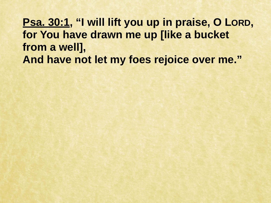**Psa. 30:1, "I will lift you up in praise, O LORD, for You have drawn me up [like a bucket from a well], And have not let my foes rejoice over me."**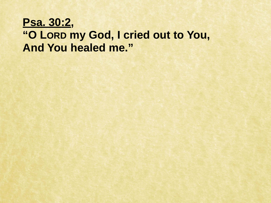## **Psa. 30:2,**

## **"O LORD my God, I cried out to You, And You healed me."**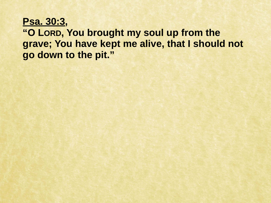### **Psa. 30:3, "O LORD, You brought my soul up from the grave; You have kept me alive, that I should not go down to the pit."**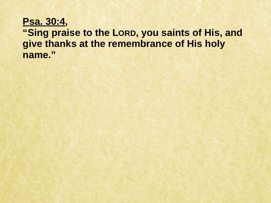#### **Psa. 30:4, "Sing praise to the LORD, you saints of His, and give thanks at the remembrance of His holy name."**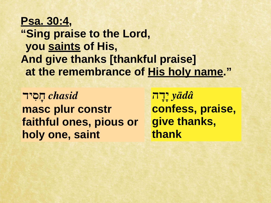## **Psa. 30:4, "Sing praise to the Lord, you saints of His, And give thanks [thankful praise] at the remembrance of His holy name."**

*chasid* **חָסִיד masc plur constr faithful ones, pious or holy one, saint**

*yādâ* **י ָדָה confess, praise, give thanks, thank**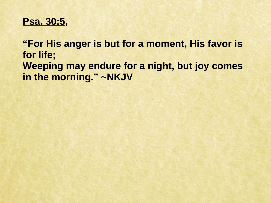#### **Psa. 30:5,**

**"For His anger is but for a moment, His favor is for life; Weeping may endure for a night, but joy comes in the morning." ~NKJV**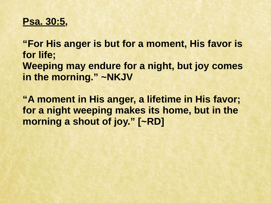#### **Psa. 30:5,**

**"For His anger is but for a moment, His favor is for life; Weeping may endure for a night, but joy comes in the morning." ~NKJV** 

**"A moment in His anger, a lifetime in His favor; for a night weeping makes its home, but in the morning a shout of joy." [~RD]**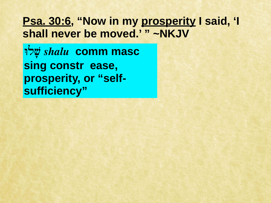**לוָּשׁ** *shalu* **comm masc sing constr ease, prosperity, or "selfsufficiency"**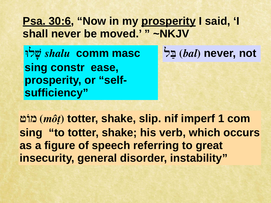**לוָּשׁ** *shalu* **comm masc sing constr ease, prosperity, or "selfsufficiency"**

**לַבּ)** *bal***) never, not**

**ט.מ)** *môṭ***) totter, shake, slip. nif imperf 1 com sing "to totter, shake; his verb, which occurs as a figure of speech referring to great insecurity, general disorder, instability"**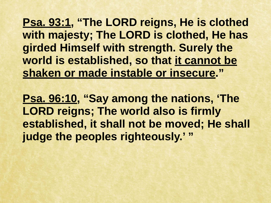**Psa. 93:1, "The LORD reigns, He is clothed with majesty; The LORD is clothed, He has girded Himself with strength. Surely the world is established, so that it cannot be shaken or made instable or insecure."** 

**Psa. 96:10, "Say among the nations, 'The LORD reigns; The world also is firmly established, it shall not be moved; He shall judge the peoples righteously.' "**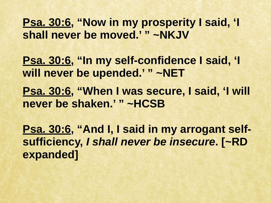**Psa. 30:6, "In my self-confidence I said, 'I will never be upended.' " ~NET** 

**Psa. 30:6, "When I was secure, I said, 'I will never be shaken.' " ~HCSB** 

**Psa. 30:6, "And I, I said in my arrogant selfsufficiency,** *I shall never be insecure***. [~RD expanded]**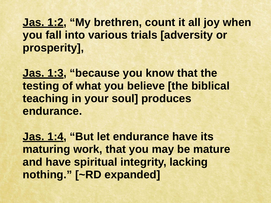**Jas. 1:2, "My brethren, count it all joy when you fall into various trials [adversity or prosperity],** 

**Jas. 1:3, "because you know that the testing of what you believe [the biblical teaching in your soul] produces endurance.** 

**Jas. 1:4, "But let endurance have its maturing work, that you may be mature and have spiritual integrity, lacking nothing." [~RD expanded]**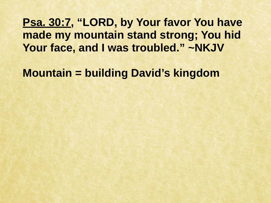**Psa. 30:7, "LORD, by Your favor You have made my mountain stand strong; You hid Your face, and I was troubled." ~NKJV** 

**Mountain = building David's kingdom**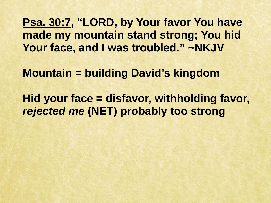**Psa. 30:7, "LORD, by Your favor You have made my mountain stand strong; You hid Your face, and I was troubled." ~NKJV** 

**Mountain = building David's kingdom** 

**Hid your face = disfavor, withholding favor,**  *rejected me* **(NET) probably too strong**